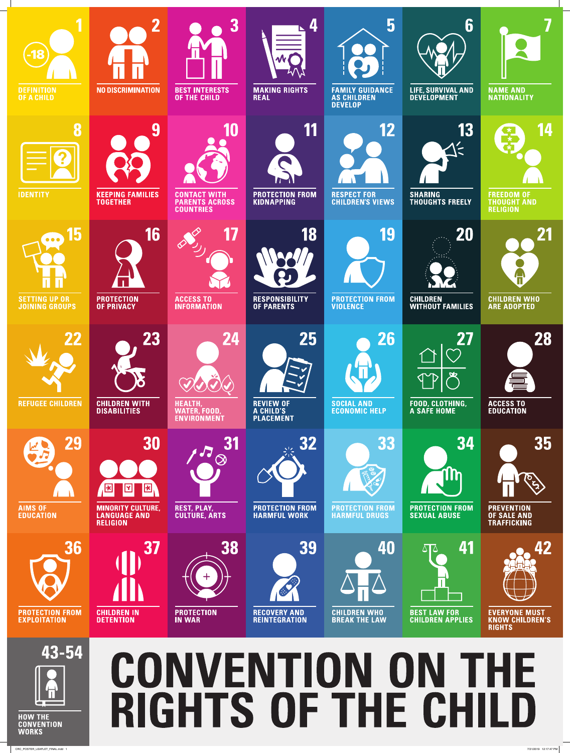

|                                                     |                                                                                                                                              | <b>ENVIRONMENT</b>                               | <b>PLACEMENT</b>                                        |                                                      |                                                                     |                                                                                 |
|-----------------------------------------------------|----------------------------------------------------------------------------------------------------------------------------------------------|--------------------------------------------------|---------------------------------------------------------|------------------------------------------------------|---------------------------------------------------------------------|---------------------------------------------------------------------------------|
| 29<br><b>AIMS OF</b><br><b>EDUCATION</b>            | 30<br>$\boxed{\mathbf{r}}$<br>$\mathbf{E}$<br>$\vert \mathbf{E} \vert$<br><b>MINORITY CULTURE,</b><br><b>LANGUAGE AND</b><br><b>RELIGION</b> | 31<br><b>REST, PLAY,</b><br><b>CULTURE, ARTS</b> | 32<br><b>PROTECTION FROM</b><br><b>HARMFUL WORK</b>     | 33<br><b>PROTECTION FROM</b><br><b>HARMFUL DRUGS</b> | 34<br>$\mathbf{u}$<br><b>PROTECTION FROM</b><br><b>SEXUAL ABUSE</b> | 35<br><b>D</b><br><b>PREVENTION</b><br><b>OF SALE AND</b><br><b>TRAFFICKING</b> |
| 36<br><b>PROTECTION FROM</b><br><b>EXPLOITATION</b> | <b>37</b><br><b>CHILDREN IN</b><br><b>DETENTION</b>                                                                                          | 38<br><b>PROTECTION</b><br><b>IN WAR</b>         | 39<br>43<br><b>RECOVERY AND</b><br><b>REINTEGRATION</b> | 40<br><b>CHILDREN WHO</b><br><b>BREAK THE LAW</b>    | 41<br><b>BEST LAW FOR</b><br><b>CHILDREN APPLIES</b>                | 42<br><b>EVERYONE MUST</b><br><b>KNOW CHILDREN'S</b><br><b>RIGHTS</b>           |

## 43-54

**HOW THE CONVENTION WORKS** 

## **CONVENTION ON THE RIGHTS OF THE CHILD**